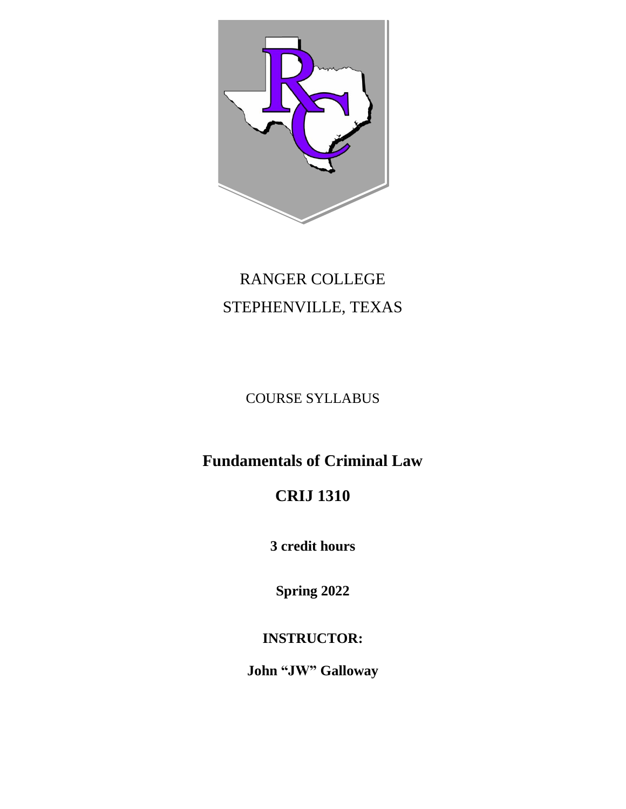

# RANGER COLLEGE STEPHENVILLE, TEXAS

### COURSE SYLLABUS

## **Fundamentals of Criminal Law**

# **CRIJ 1310**

**3 credit hours**

**Spring 2022**

### **INSTRUCTOR:**

**John "JW" Galloway**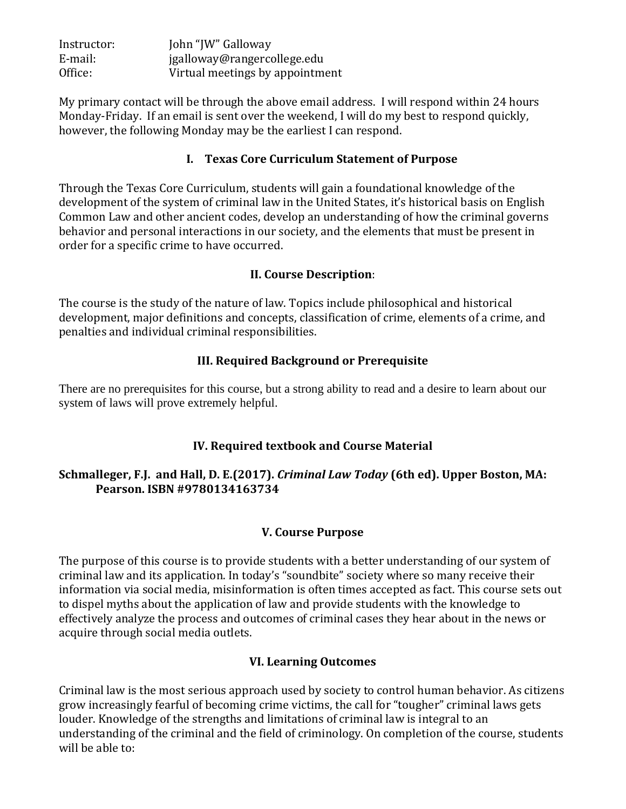| Instructor: | John "JW" Galloway              |
|-------------|---------------------------------|
| E-mail:     | jgalloway@rangercollege.edu     |
| Office:     | Virtual meetings by appointment |

My primary contact will be through the above email address. I will respond within 24 hours Monday-Friday. If an email is sent over the weekend, I will do my best to respond quickly, however, the following Monday may be the earliest I can respond.

#### **I. Texas Core Curriculum Statement of Purpose**

Through the Texas Core Curriculum, students will gain a foundational knowledge of the development of the system of criminal law in the United States, it's historical basis on English Common Law and other ancient codes, develop an understanding of how the criminal governs behavior and personal interactions in our society, and the elements that must be present in order for a specific crime to have occurred.

#### **II. Course Description**:

The course is the study of the nature of law. Topics include philosophical and historical development, major definitions and concepts, classification of crime, elements of a crime, and penalties and individual criminal responsibilities.

#### **III. Required Background or Prerequisite**

There are no prerequisites for this course, but a strong ability to read and a desire to learn about our system of laws will prove extremely helpful.

#### **IV. Required textbook and Course Material**

#### **Schmalleger, F.J. and Hall, D. E.(2017).** *Criminal Law Today* **(6th ed). Upper Boston, MA: Pearson. ISBN #9780134163734**

#### **V. Course Purpose**

The purpose of this course is to provide students with a better understanding of our system of criminal law and its application. In today's "soundbite" society where so many receive their information via social media, misinformation is often times accepted as fact. This course sets out to dispel myths about the application of law and provide students with the knowledge to effectively analyze the process and outcomes of criminal cases they hear about in the news or acquire through social media outlets.

#### **VI. Learning Outcomes**

Criminal law is the most serious approach used by society to control human behavior. As citizens grow increasingly fearful of becoming crime victims, the call for "tougher" criminal laws gets louder. Knowledge of the strengths and limitations of criminal law is integral to an understanding of the criminal and the field of criminology. On completion of the course, students will be able to: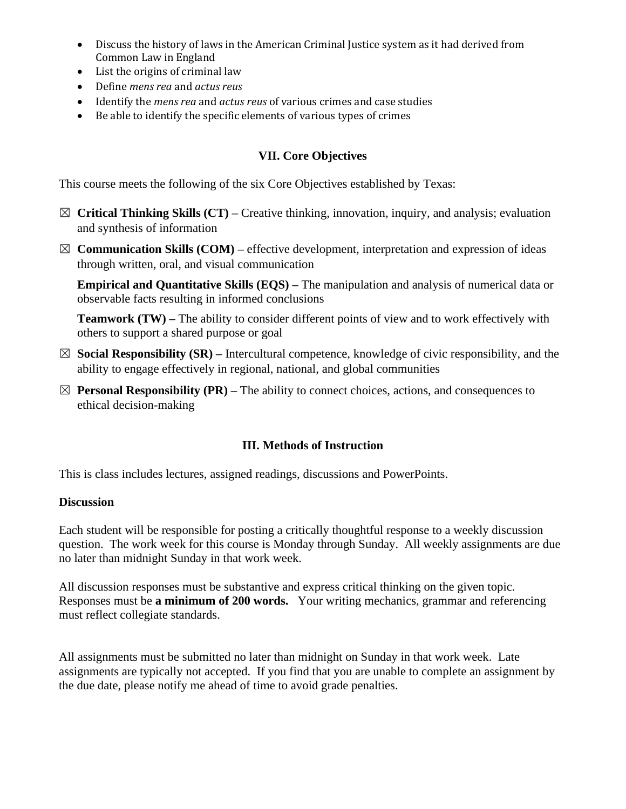- Discuss the history of laws in the American Criminal Justice system as it had derived from Common Law in England
- List the origins of criminal law
- Define *mens rea* and *actus reus*
- Identify the *mens rea* and *actus reus* of various crimes and case studies
- Be able to identify the specific elements of various types of crimes

#### **VII. Core Objectives**

This course meets the following of the six Core Objectives established by Texas:

- ☒ **Critical Thinking Skills (CT) –** Creative thinking, innovation, inquiry, and analysis; evaluation and synthesis of information
- $\boxtimes$  **Communication Skills (COM)** effective development, interpretation and expression of ideas through written, oral, and visual communication

**Empirical and Quantitative Skills (EQS) –** The manipulation and analysis of numerical data or observable facts resulting in informed conclusions

**Teamwork (TW) –** The ability to consider different points of view and to work effectively with others to support a shared purpose or goal

- ☒ **Social Responsibility (SR) –** Intercultural competence, knowledge of civic responsibility, and the ability to engage effectively in regional, national, and global communities
- $\boxtimes$  **Personal Responsibility (PR)** The ability to connect choices, actions, and consequences to ethical decision-making

#### **III. Methods of Instruction**

This is class includes lectures, assigned readings, discussions and PowerPoints.

#### **Discussion**

Each student will be responsible for posting a critically thoughtful response to a weekly discussion question. The work week for this course is Monday through Sunday. All weekly assignments are due no later than midnight Sunday in that work week.

All discussion responses must be substantive and express critical thinking on the given topic. Responses must be **a minimum of 200 words.** Your writing mechanics, grammar and referencing must reflect collegiate standards.

All assignments must be submitted no later than midnight on Sunday in that work week. Late assignments are typically not accepted. If you find that you are unable to complete an assignment by the due date, please notify me ahead of time to avoid grade penalties.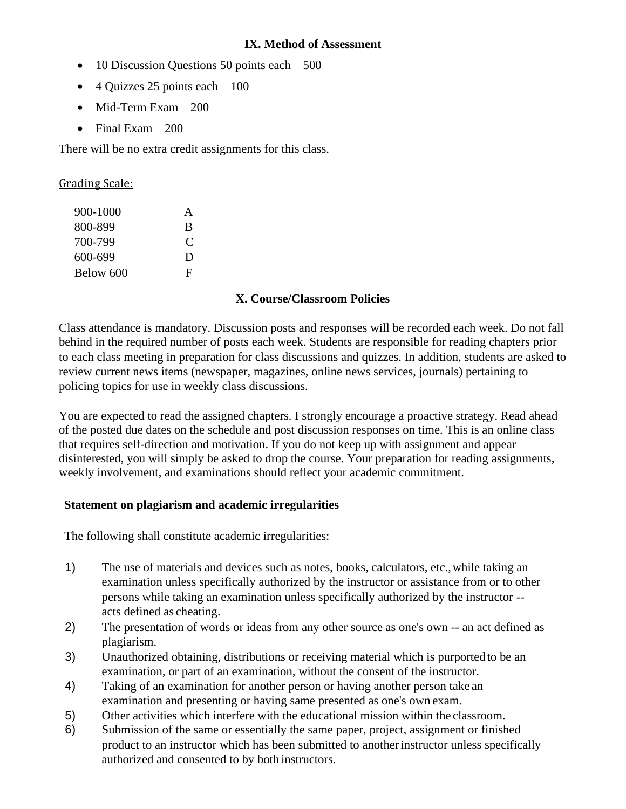#### **IX. Method of Assessment**

- 10 Discussion Questions 50 points each 500
- 4 Quizzes 25 points each  $-100$
- Mid-Term Exam 200
- Final Exam  $-200$

There will be no extra credit assignments for this class.

Grading Scale:

| 900-1000  | A |
|-----------|---|
| 800-899   | B |
| 700-799   | C |
| 600-699   | D |
| Below 600 | F |

#### **X. Course/Classroom Policies**

Class attendance is mandatory. Discussion posts and responses will be recorded each week. Do not fall behind in the required number of posts each week. Students are responsible for reading chapters prior to each class meeting in preparation for class discussions and quizzes. In addition, students are asked to review current news items (newspaper, magazines, online news services, journals) pertaining to policing topics for use in weekly class discussions.

You are expected to read the assigned chapters. I strongly encourage a proactive strategy. Read ahead of the posted due dates on the schedule and post discussion responses on time. This is an online class that requires self-direction and motivation. If you do not keep up with assignment and appear disinterested, you will simply be asked to drop the course. Your preparation for reading assignments, weekly involvement, and examinations should reflect your academic commitment.

#### **Statement on plagiarism and academic irregularities**

The following shall constitute academic irregularities:

- 1) The use of materials and devices such as notes, books, calculators, etc.,while taking an examination unless specifically authorized by the instructor or assistance from or to other persons while taking an examination unless specifically authorized by the instructor - acts defined as cheating.
- 2) The presentation of words or ideas from any other source as one's own -- an act defined as plagiarism.
- 3) Unauthorized obtaining, distributions or receiving material which is purported to be an examination, or part of an examination, without the consent of the instructor.
- 4) Taking of an examination for another person or having another person take an examination and presenting or having same presented as one's own exam.
- 5) Other activities which interfere with the educational mission within the classroom.
- 6) Submission of the same or essentially the same paper, project, assignment or finished product to an instructor which has been submitted to anotherinstructor unless specifically authorized and consented to by both instructors.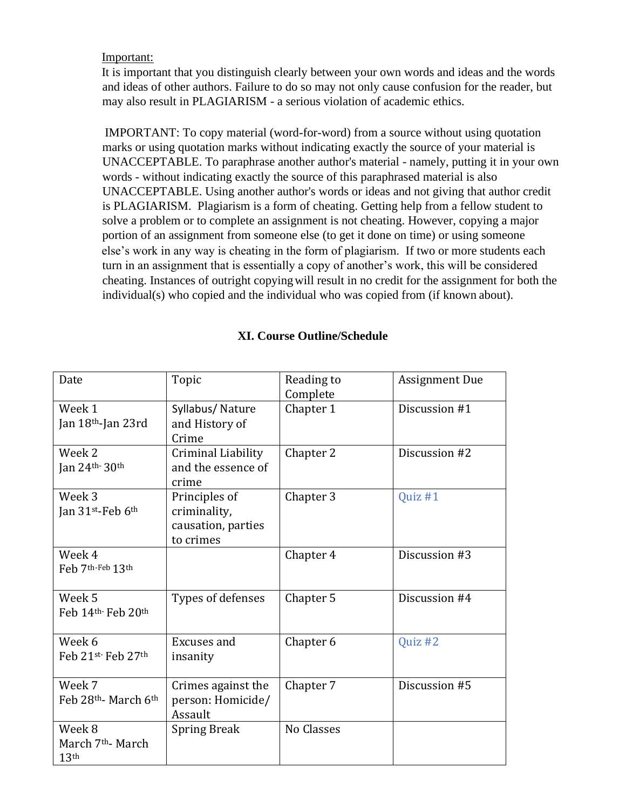#### Important:

It is important that you distinguish clearly between your own words and ideas and the words and ideas of other authors. Failure to do so may not only cause confusion for the reader, but may also result in PLAGIARISM - a serious violation of academic ethics.

IMPORTANT: To copy material (word-for-word) from a source without using quotation marks or using quotation marks without indicating exactly the source of your material is UNACCEPTABLE. To paraphrase another author's material - namely, putting it in your own words - without indicating exactly the source of this paraphrased material is also UNACCEPTABLE. Using another author's words or ideas and not giving that author credit is PLAGIARISM. Plagiarism is a form of cheating. Getting help from a fellow student to solve a problem or to complete an assignment is not cheating. However, copying a major portion of an assignment from someone else (to get it done on time) or using someone else's work in any way is cheating in the form of plagiarism. If two or more students each turn in an assignment that is essentially a copy of another's work, this will be considered cheating. Instances of outright copyingwill result in no credit for the assignment for both the individual(s) who copied and the individual who was copied from (if known about).

#### **XI. Course Outline/Schedule**

| Date                                                        | Topic                                                            | Reading to<br>Complete | <b>Assignment Due</b> |
|-------------------------------------------------------------|------------------------------------------------------------------|------------------------|-----------------------|
| Week 1<br>Jan 18th-Jan 23rd                                 | Syllabus/Nature<br>and History of<br>Crime                       | Chapter 1              | Discussion #1         |
| Week 2<br>Jan $24$ <sup>th</sup> $30$ <sup>th</sup>         | Criminal Liability<br>and the essence of<br>crime                | Chapter 2              | Discussion #2         |
| Week 3<br>Jan $31$ <sup>st</sup> -Feb $6$ <sup>th</sup>     | Principles of<br>criminality,<br>causation, parties<br>to crimes | Chapter 3              | Quiz #1               |
| Week 4<br>Feb 7th-Feb 13th                                  |                                                                  | Chapter 4              | Discussion #3         |
| Week 5<br>Feb 14th Feb 20th                                 | Types of defenses                                                | Chapter 5              | Discussion #4         |
| Week 6<br>Feb 21st-Feb 27th                                 | Excuses and<br>insanity                                          | Chapter 6              | Quiz #2               |
| Week 7<br>Feb 28th March 6th                                | Crimes against the<br>person: Homicide/<br>Assault               | Chapter 7              | Discussion #5         |
| Week 8<br>March 7 <sup>th</sup> - March<br>13 <sup>th</sup> | <b>Spring Break</b>                                              | No Classes             |                       |